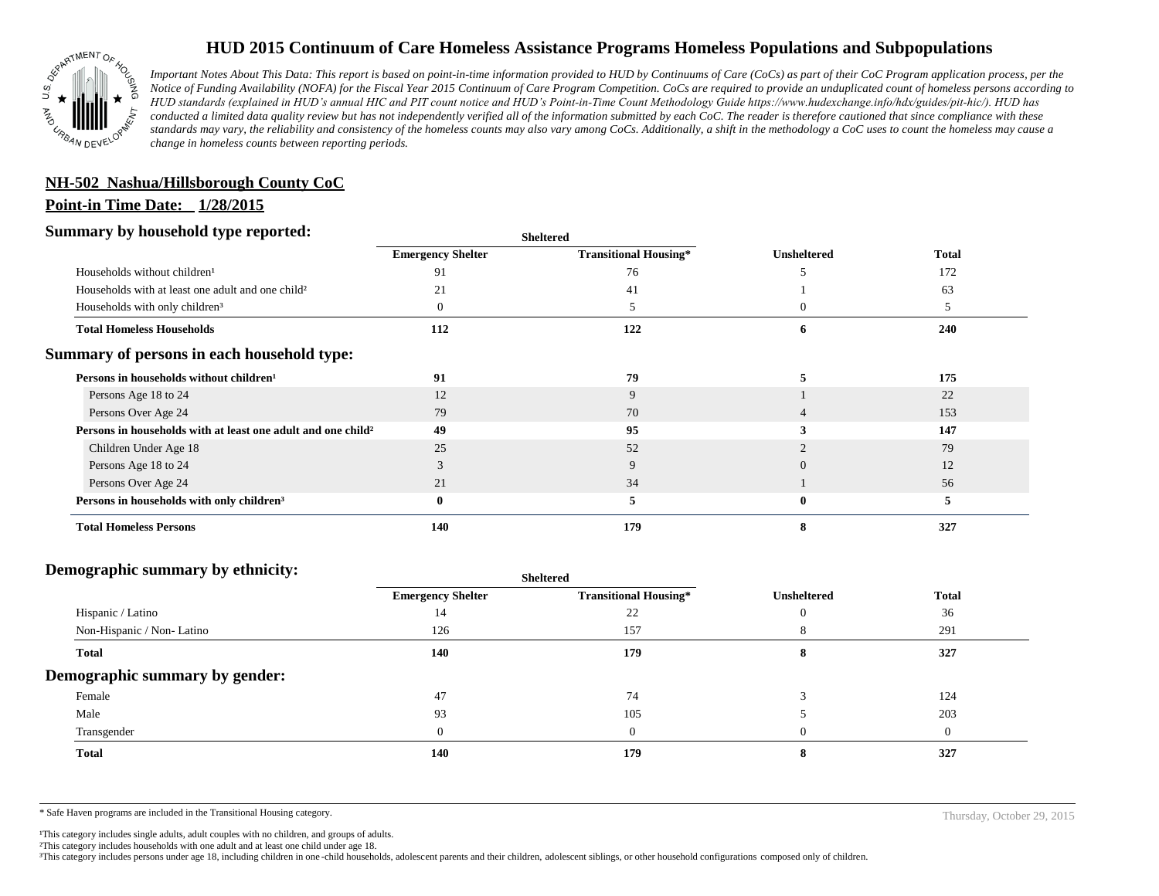

## **HUD 2015 Continuum of Care Homeless Assistance Programs Homeless Populations and Subpopulations**

*Important Notes About This Data: This report is based on point-in-time information provided to HUD by Continuums of Care (CoCs) as part of their CoC Program application process, per the Notice of Funding Availability (NOFA) for the Fiscal Year 2015 Continuum of Care Program Competition. CoCs are required to provide an unduplicated count of homeless persons according to HUD standards (explained in HUD's annual HIC and PIT count notice and HUD's Point-in-Time Count Methodology Guide https://www.hudexchange.info/hdx/guides/pit-hic/). HUD has conducted a limited data quality review but has not independently verified all of the information submitted by each CoC. The reader is therefore cautioned that since compliance with these*  standards may vary, the reliability and consistency of the homeless counts may also vary among CoCs. Additionally, a shift in the methodology a CoC uses to count the homeless may cause a *change in homeless counts between reporting periods.*

# **NH-502 Nashua/Hillsborough County CoC**

#### **Point-in Time Date: 1/28/2015**

#### **Summary by household type reported:**

| эшппагу бу поизепою туре герогіесі:                                      | <b>Sheltered</b>         |                              |                    |              |
|--------------------------------------------------------------------------|--------------------------|------------------------------|--------------------|--------------|
|                                                                          | <b>Emergency Shelter</b> | <b>Transitional Housing*</b> | <b>Unsheltered</b> | <b>Total</b> |
| Households without children <sup>1</sup>                                 | 91                       | 76                           |                    | 172          |
| Households with at least one adult and one child <sup>2</sup>            |                          | 41                           |                    | 63           |
| Households with only children <sup>3</sup>                               |                          |                              | 0                  |              |
| <b>Total Homeless Households</b>                                         | 112                      | 122                          | 6                  | 240          |
| Summary of persons in each household type:                               |                          |                              |                    |              |
| Persons in households without children <sup>1</sup>                      | 91                       | 79                           |                    | 175          |
| Persons Age 18 to 24                                                     | 12                       | 9                            |                    | 22           |
| Persons Over Age 24                                                      | 79                       | 70                           |                    | 153          |
| Persons in households with at least one adult and one child <sup>2</sup> | 49                       | 95                           |                    | 147          |
| Children Under Age 18                                                    | 25                       | 52                           |                    | 79           |
| Persons Age 18 to 24                                                     |                          | 9                            |                    | 12           |
| Persons Over Age 24                                                      | 21                       | 34                           |                    | 56           |
| Persons in households with only children <sup>3</sup>                    |                          | 5                            | 0                  | 5            |
| <b>Total Homeless Persons</b>                                            | 140                      | 179                          |                    | 327          |

#### **Demographic summary by ethnicity:**

| ິ<br>. .<br>. .                | Sneitered                |                              |                    |              |
|--------------------------------|--------------------------|------------------------------|--------------------|--------------|
|                                | <b>Emergency Shelter</b> | <b>Transitional Housing*</b> | <b>Unsheltered</b> | <b>Total</b> |
| Hispanic / Latino              | 14                       | 22                           |                    | 36           |
| Non-Hispanic / Non-Latino      | 126                      | 157                          |                    | 291          |
| <b>Total</b>                   | 140                      | 179                          |                    | 327          |
| Demographic summary by gender: |                          |                              |                    |              |
| Female                         | 47                       | 74                           |                    | 124          |
| Male                           | 93                       | 105                          |                    | 203          |
| Transgender                    | $\Omega$                 | $\Omega$                     |                    | $\theta$     |
| <b>Total</b>                   | 140                      | 179                          |                    | 327          |

**Sheltered**

\* Safe Haven programs are included in the Transitional Housing category. Thursday, October 29, 2015

<sup>1</sup>This category includes single adults, adult couples with no children, and groups of adults.

²This category includes households with one adult and at least one child under age 18.

³This category includes persons under age 18, including children in one -child households, adolescent parents and their children, adolescent siblings, or other household configurations composed only of children.